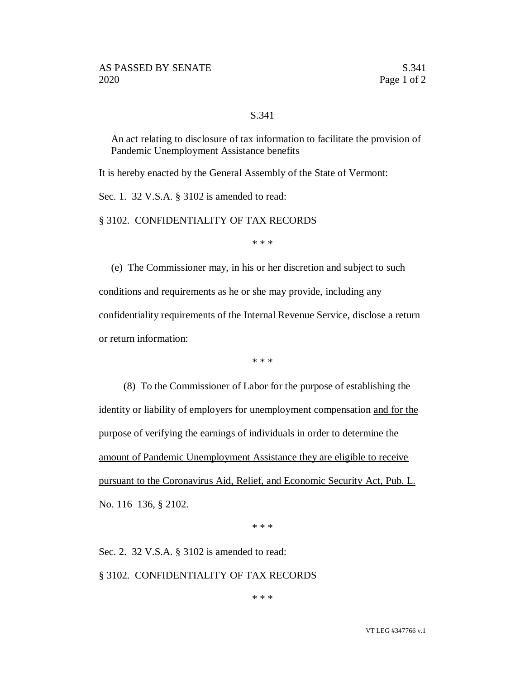## S.341

An act relating to disclosure of tax information to facilitate the provision of Pandemic Unemployment Assistance benefits

It is hereby enacted by the General Assembly of the State of Vermont:

Sec. 1. 32 V.S.A. § 3102 is amended to read:

§ 3102. CONFIDENTIALITY OF TAX RECORDS

\* \* \*

(e) The Commissioner may, in his or her discretion and subject to such conditions and requirements as he or she may provide, including any confidentiality requirements of the Internal Revenue Service, disclose a return or return information:

\* \* \*

(8) To the Commissioner of Labor for the purpose of establishing the identity or liability of employers for unemployment compensation and for the purpose of verifying the earnings of individuals in order to determine the amount of Pandemic Unemployment Assistance they are eligible to receive pursuant to the Coronavirus Aid, Relief, and Economic Security Act, Pub. L. No. 116–136, § 2102.

\* \* \*

Sec. 2. 32 V.S.A. § 3102 is amended to read: § 3102. CONFIDENTIALITY OF TAX RECORDS

\* \* \*